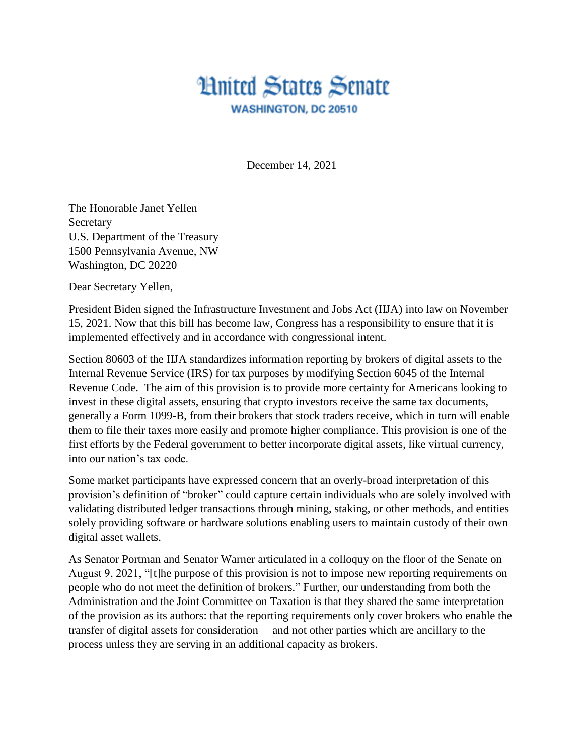## **Hnited States Senate WASHINGTON, DC 20510**

December 14, 2021

The Honorable Janet Yellen Secretary U.S. Department of the Treasury 1500 Pennsylvania Avenue, NW Washington, DC 20220

Dear Secretary Yellen,

President Biden signed the Infrastructure Investment and Jobs Act (IIJA) into law on November 15, 2021. Now that this bill has become law, Congress has a responsibility to ensure that it is implemented effectively and in accordance with congressional intent.

Section 80603 of the IIJA standardizes information reporting by brokers of digital assets to the Internal Revenue Service (IRS) for tax purposes by modifying Section 6045 of the Internal Revenue Code. The aim of this provision is to provide more certainty for Americans looking to invest in these digital assets, ensuring that crypto investors receive the same tax documents, generally a Form 1099-B, from their brokers that stock traders receive, which in turn will enable them to file their taxes more easily and promote higher compliance. This provision is one of the first efforts by the Federal government to better incorporate digital assets, like virtual currency, into our nation's tax code.

Some market participants have expressed concern that an overly-broad interpretation of this provision's definition of "broker" could capture certain individuals who are solely involved with validating distributed ledger transactions through mining, staking, or other methods, and entities solely providing software or hardware solutions enabling users to maintain custody of their own digital asset wallets.

As Senator Portman and Senator Warner articulated in a colloquy on the floor of the Senate on August 9, 2021, "[t]he purpose of this provision is not to impose new reporting requirements on people who do not meet the definition of brokers." Further, our understanding from both the Administration and the Joint Committee on Taxation is that they shared the same interpretation of the provision as its authors: that the reporting requirements only cover brokers who enable the transfer of digital assets for consideration —and not other parties which are ancillary to the process unless they are serving in an additional capacity as brokers.